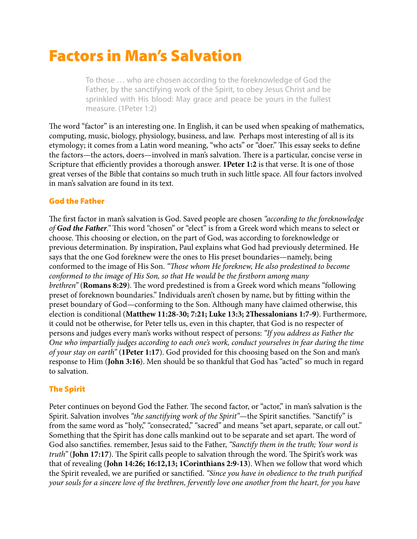# Factors in Man's Salvation

To those … who are chosen according to the foreknowledge of God the Father, by the sanctifying work of the Spirit, to obey Jesus Christ and be sprinkled with His blood: May grace and peace be yours in the fullest measure. (1Peter 1:2)

The word "factor" is an interesting one. In English, it can be used when speaking of mathematics, computing, music, biology, physiology, business, and law. Perhaps most interesting of all is its etymology; it comes from a Latin word meaning, "who acts" or "doer." This essay seeks to define the factors—the actors, doers—involved in man's salvation. There is a particular, concise verse in Scripture that efficiently provides a thorough answer. **1Peter 1:2** is that verse. It is one of those great verses of the Bible that contains so much truth in such little space. All four factors involved in man's salvation are found in its text.

# God the Father

The first factor in man's salvation is God. Saved people are chosen "according to the foreknowledge" *of God the Father*." This word "chosen" or "elect" is from a Greek word which means to select or choose. Tis choosing or election, on the part of God, was according to foreknowledge or previous determination. By inspiration, Paul explains what God had previously determined. He says that the one God foreknew were the ones to His preset boundaries—namely, being conformed to the image of His Son. *"*T*ose whom He foreknew, He also predestined to become conformed to the image of His Son, so that He would be the firstborn among many brethren*" (Romans 8:29). The word predestined is from a Greek word which means "following preset of foreknown boundaries." Individuals aren't chosen by name, but by ftting within the preset boundary of God—conforming to the Son. Although many have claimed otherwise, this election is conditional (**Matthew 11:28-30; 7:21; Luke 13:3; 2Tessalonians 1:7-9**). Furthermore, it could not be otherwise, for Peter tells us, even in this chapter, that God is no respecter of persons and judges every man's works without respect of persons: *"If you address as Father the One who impartially judges according to each one's work, conduct yourselves in fear during the time of your stay on earth"* (**1Peter 1:17**). God provided for this choosing based on the Son and man's response to Him (**John 3:16**). Men should be so thankful that God has "acted" so much in regard to salvation.

## The Spirit

Peter continues on beyond God the Father. The second factor, or "actor," in man's salvation is the Spirit. Salvation involves *"the sanctifying work of the Spirit"*—the Spirit sanctifes. "Sanctify" is from the same word as "holy," "consecrated," "sacred" and means "set apart, separate, or call out." Something that the Spirit has done calls mankind out to be separate and set apart. The word of God also sanctifes. remember, Jesus said to the Father, *"Sanctify them in the truth; Your word is truth*" (John 17:17). The Spirit calls people to salvation through the word. The Spirit's work was that of revealing (**John 14:26; 16:12,13; 1Corinthians 2:9-13**). When we follow that word which the Spirit revealed, we are purifed or sanctifed. *"Since you have in obedience to the truth puri*f*ed your souls for a sincere love of the brethren, fervently love one another from the heart, for you have*